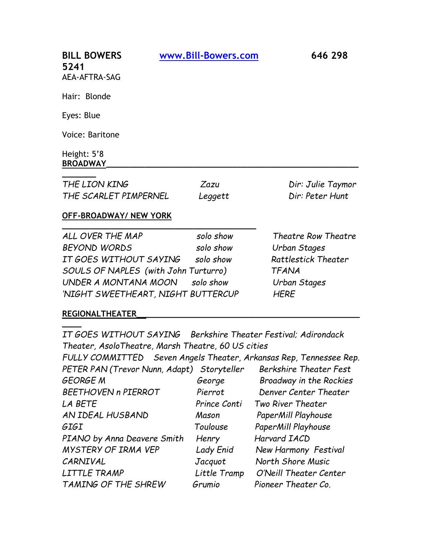| <b>BILL BOWERS</b><br>5241<br>AEA-AFTRA-SAG | www.Bill-Bowers.com | 646 298 |
|---------------------------------------------|---------------------|---------|
| Hair: Blonde                                |                     |         |
| Eyes: Blue                                  |                     |         |
| Voice: Baritone                             |                     |         |
| Height: 5'8<br><b>BROADWAY</b>              |                     |         |

| THE LION KING         | Zazu    | Dir: Julie Taymor |
|-----------------------|---------|-------------------|
| THE SCARLET PIMPERNEL | Leggett | Dir: Peter Hunt   |

## **OFF-BROADWAY/ NEW YORK**

**\_\_\_\_\_\_\_\_\_\_\_\_\_\_\_\_\_\_\_\_\_\_\_\_\_\_\_\_\_\_\_\_\_\_\_\_\_\_\_\_**

| ALL OVER THE MAP                     | solo show | <b>Theatre Row Theatre</b> |
|--------------------------------------|-----------|----------------------------|
| BEYOND WORDS                         | solo show | Urban Stages               |
| IT GOES WITHOUT SAYING               | solo show | <b>Rattlestick Theater</b> |
| SOULS OF NAPLES (with John Turturro) |           | <b>TFANA</b>               |
| UNDER A MONTANA MOON solo show       |           | Urban Stages               |
| 'NIGHT SWEETHEART, NIGHT BUTTERCUP   |           | <b>HERE</b>                |

## **REGIONALTHEATER\_\_\_\_\_\_\_\_\_\_\_\_\_\_\_\_\_\_\_\_\_\_\_\_\_\_\_\_\_\_\_\_\_\_\_\_\_\_\_\_\_\_\_\_\_\_**

**\_\_\_\_**

*IT GOES WITHOUT SAYING Berkshire Theater Festival; Adirondack Theater, AsoloTheatre, Marsh Theatre, 60 US cities* 

*FULLY COMMITTED Seven Angels Theater, Arkansas Rep, Tennessee Rep. PETER PAN (Trevor Nunn, Adapt) Storyteller Berkshire Theater Fest GEORGE M George Broadway in the Rockies BEETHOVEN n PIERROT Pierrot Denver Center Theater LA BETE Prince Conti Two River Theater AN IDEAL HUSBAND Mason PaperMill Playhouse GIGI Toulouse PaperMill Playhouse PIANO* by Anna Deavere Smith Henry Harvard IACD *MYSTERY OF IRMA VEP Lady Enid New Harmony Festival CARNIVAL Jacquot North Shore Music LITTLE TRAMP Little Tramp O'Neill Theater Center TAMING OF THE SHREW Grumio Pioneer Theater Co.*